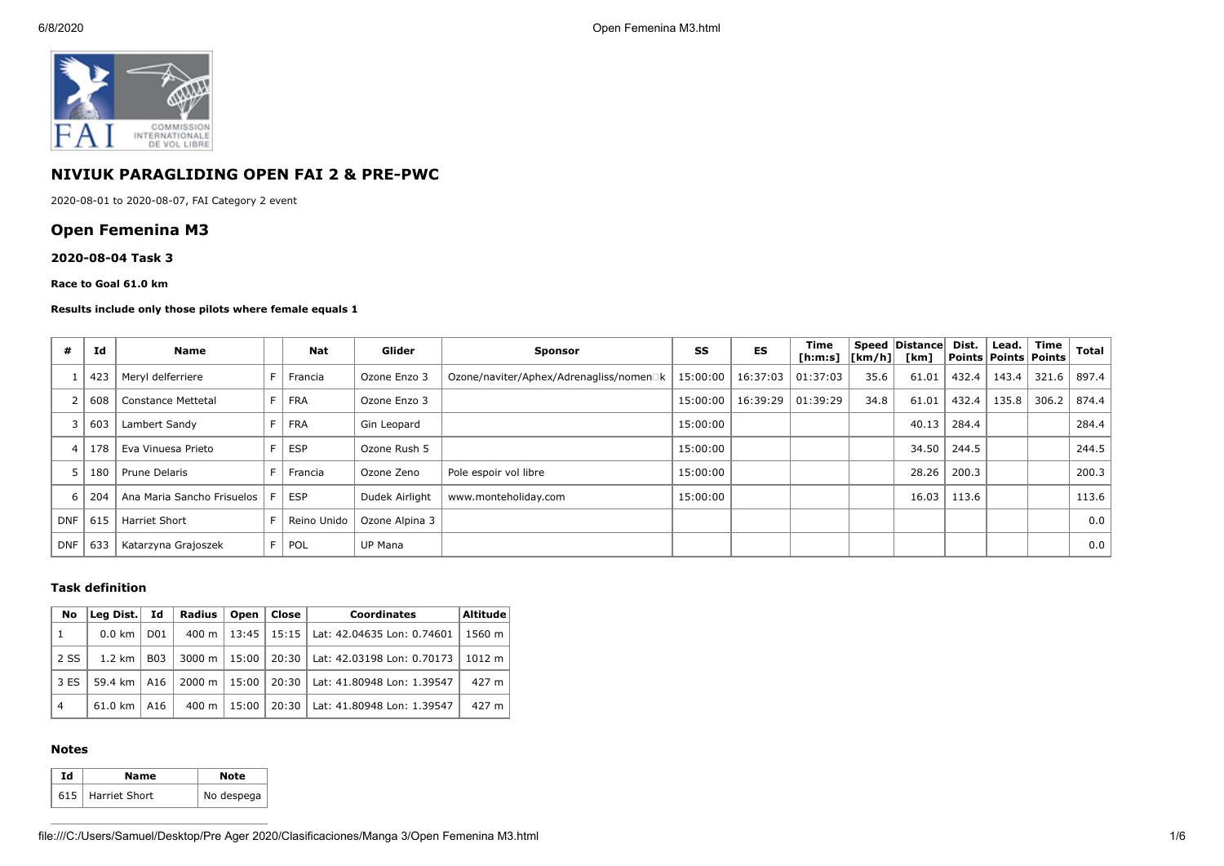

# **NIVIUK PARAGLIDING OPEN FAI 2 & PRE-PWC**

2020-08-01 to 2020-08-07, FAI Category 2 event

# **Open Femenina M3**

### **2020-08-04 Task 3**

#### **Race to Goal 61.0 km**

### **Results include only those pilots where female equals 1**

| #          | Id  | Name                       | <b>Nat</b>  | Glider         | <b>Sponsor</b>                          | SS       | <b>ES</b> | Time<br>[ <b>h</b> : <b>m</b> : <b>s</b> ] | $\lfloor \lfloor km/h \rfloor \rfloor$ | Speed   Distance  <br>[km] | Dist. | Lead.<br>  Points   Points   Points | Time  | <b>Total</b> |
|------------|-----|----------------------------|-------------|----------------|-----------------------------------------|----------|-----------|--------------------------------------------|----------------------------------------|----------------------------|-------|-------------------------------------|-------|--------------|
|            | 423 | Meryl delferriere          | Francia     | Ozone Enzo 3   | Ozone/naviter/Aphex/Adrenagliss/nomen□k | 15:00:00 | 16:37:03  | 01:37:03                                   | 35.6                                   | 61.01                      | 432.4 | 143.4                               | 321.6 | 897.4        |
|            | 608 | Constance Mettetal         | <b>FRA</b>  | Ozone Enzo 3   |                                         | 15:00:00 | 16:39:29  | 01:39:29                                   | 34.8                                   | 61.01                      | 432.4 | 135.8                               | 306.2 | 874.4        |
|            | 603 | Lambert Sandy              | <b>FRA</b>  | Gin Leopard    |                                         | 15:00:00 |           |                                            |                                        | 40.13                      | 284.4 |                                     |       | 284.4        |
|            | 178 | Eva Vinuesa Prieto         | <b>ESP</b>  | Ozone Rush 5   |                                         | 15:00:00 |           |                                            |                                        | 34.50                      | 244.5 |                                     |       | 244.5        |
|            | 180 | Prune Delaris              | Francia     | Ozone Zeno     | Pole espoir vol libre                   | 15:00:00 |           |                                            |                                        | 28.26                      | 200.3 |                                     |       | 200.3        |
| b          | 204 | Ana Maria Sancho Frisuelos | <b>ESP</b>  | Dudek Airlight | www.monteholiday.com                    | 15:00:00 |           |                                            |                                        | 16.03                      | 113.6 |                                     |       | 113.6        |
| <b>DNF</b> | 615 | <b>Harriet Short</b>       | Reino Unido | Ozone Alpina 3 |                                         |          |           |                                            |                                        |                            |       |                                     |       | 0.0          |
| <b>DNF</b> | 633 | Katarzyna Grajoszek        | POL         | <b>UP Mana</b> |                                         |          |           |                                            |                                        |                            |       |                                     |       | 0.0          |

## **Task definition**

| <b>No</b>      | Lea Dist.           | Id              | <b>Radius</b>      | Open    | Close                 | <b>Coordinates</b>                 | Altitude |
|----------------|---------------------|-----------------|--------------------|---------|-----------------------|------------------------------------|----------|
| 1              | $0.0 \text{ km}$    | D <sub>01</sub> |                    |         | 400 m   13:45   15:15 | Lat: 42.04635 Lon: 0.74601         | 1560 m   |
| 2 SS           | $1.2 \text{ km}$    | <b>B03</b>      | 3000 m             | 15:00 l |                       | 20:30   Lat: 42.03198 Lon: 0.70173 | 1012 m   |
| 3 ES           | 59.4 km $\vert$ A16 |                 | $2000 \; \text{m}$ | 15:00   | $20:30$               | Lat: 41.80948 Lon: 1.39547         | 427 m    |
| $\overline{4}$ | 61.0 km             | A16             | 400 m              | 15:00   | $20:30$               | Lat: 41.80948 Lon: 1.39547         | 427 m    |

## **Notes**

| Гd | Name                | Note       |  |  |
|----|---------------------|------------|--|--|
|    | 615   Harriet Short | No despega |  |  |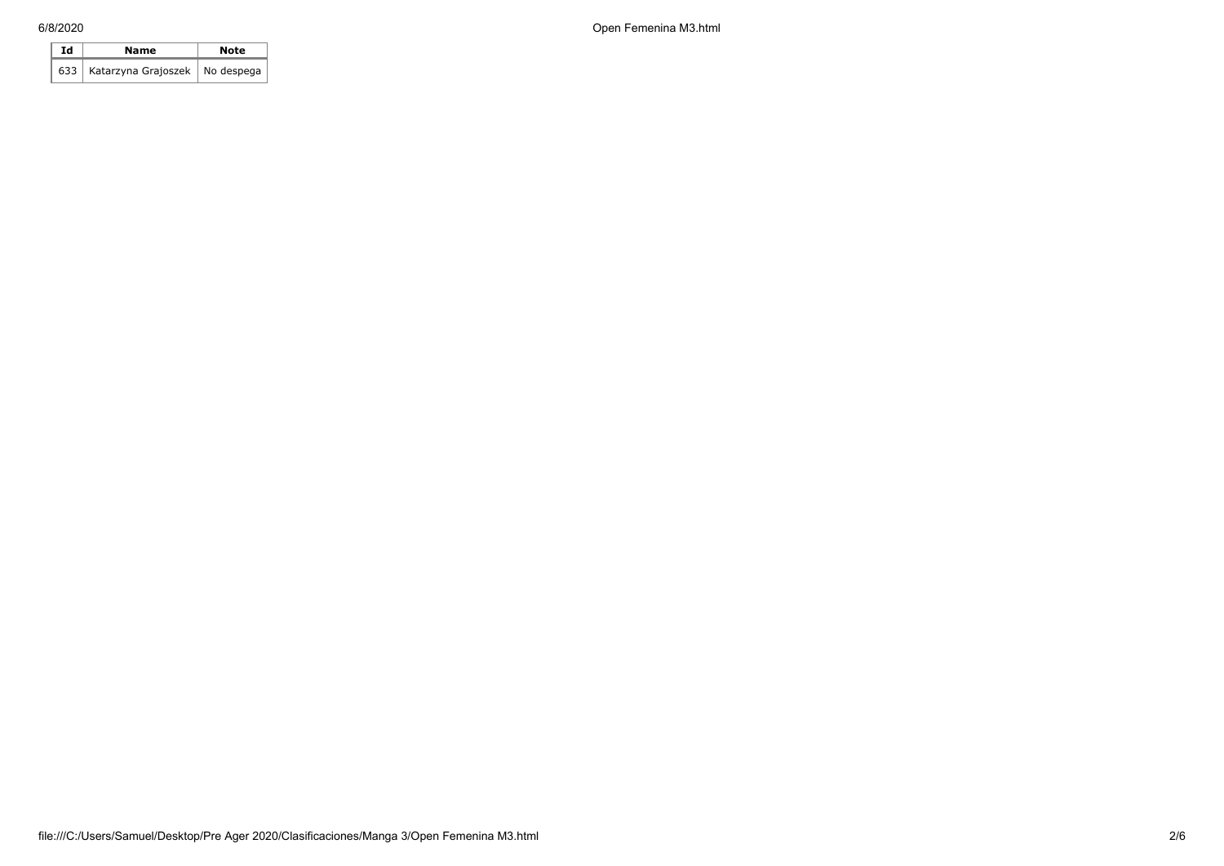| Ιd | Name                                   | Note |  |  |
|----|----------------------------------------|------|--|--|
|    | 633   Katarzyna Grajoszek   No despega |      |  |  |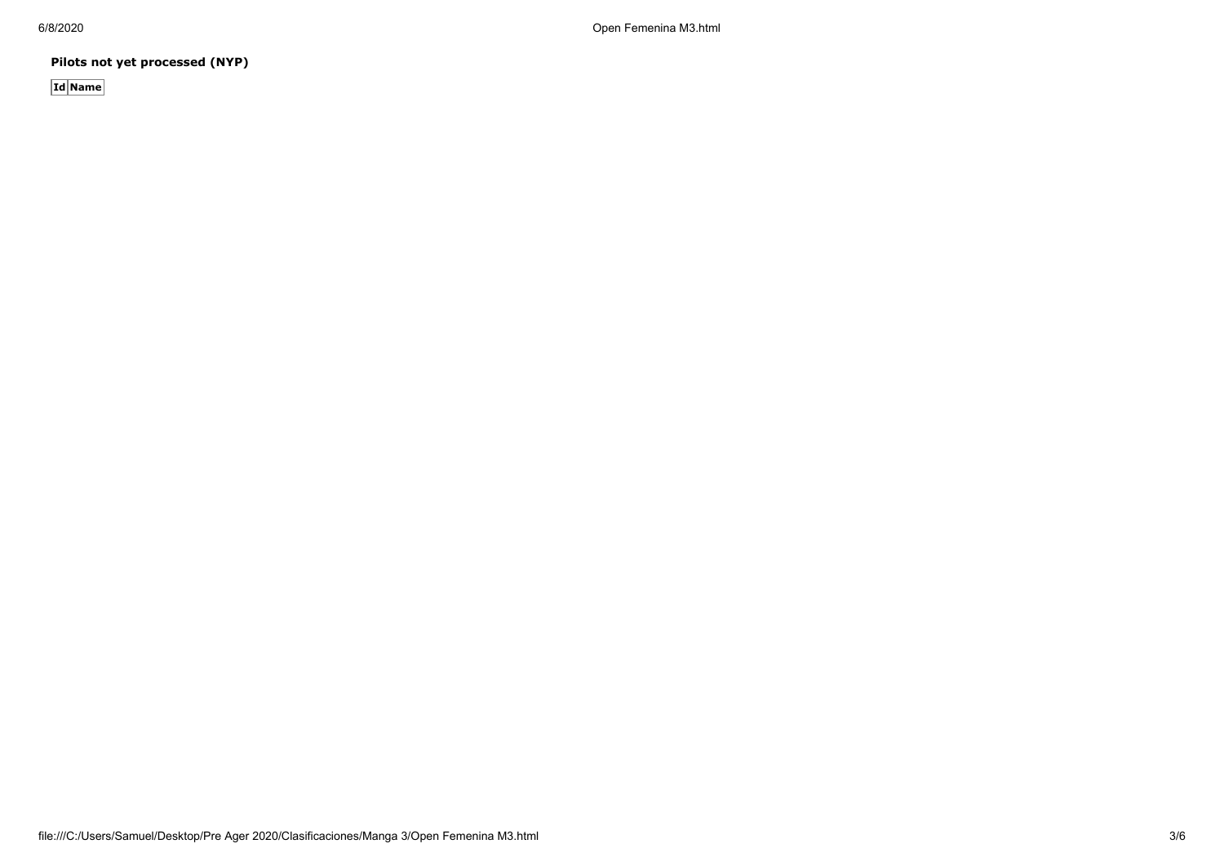6/8/2020 Open Femenina M3.html

**Pilots not yet processed (NYP)**

**Id Name**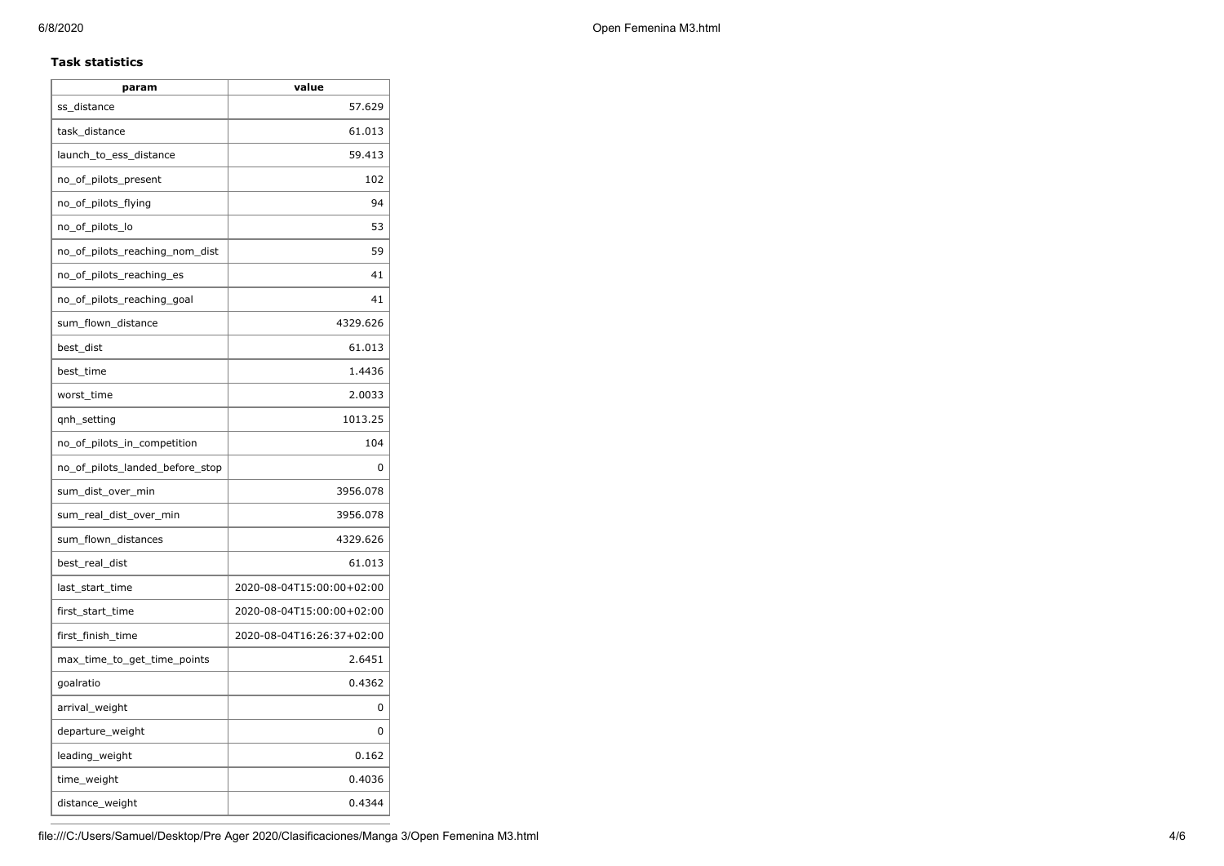## **Task statistics**

| param                           | value                     |
|---------------------------------|---------------------------|
| ss_distance                     | 57.629                    |
| task_distance                   | 61.013                    |
| launch_to_ess_distance          | 59.413                    |
| no_of_pilots_present            | 102                       |
| no_of_pilots_flying             | 94                        |
| no_of_pilots_lo                 | 53                        |
| no_of_pilots_reaching_nom_dist  | 59                        |
| no_of_pilots_reaching_es        | 41                        |
| no_of_pilots_reaching_goal      | 41                        |
| sum_flown_distance              | 4329.626                  |
| best_dist                       | 61.013                    |
| best time                       | 1.4436                    |
| worst_time                      | 2.0033                    |
| qnh_setting                     | 1013.25                   |
| no_of_pilots_in_competition     | 104                       |
| no_of_pilots_landed_before_stop | 0                         |
| sum_dist_over_min               | 3956.078                  |
| sum_real_dist_over_min          | 3956.078                  |
| sum_flown_distances             | 4329.626                  |
| best_real_dist                  | 61.013                    |
| last_start_time                 | 2020-08-04T15:00:00+02:00 |
| first_start_time                | 2020-08-04T15:00:00+02:00 |
| first_finish_time               | 2020-08-04T16:26:37+02:00 |
| max_time_to_get_time_points     | 2.6451                    |
| goalratio                       | 0.4362                    |
| arrival_weight                  | 0                         |
| departure_weight                | 0                         |
| leading_weight                  | 0.162                     |
| time_weight                     | 0.4036                    |
| distance_weight                 | 0.4344                    |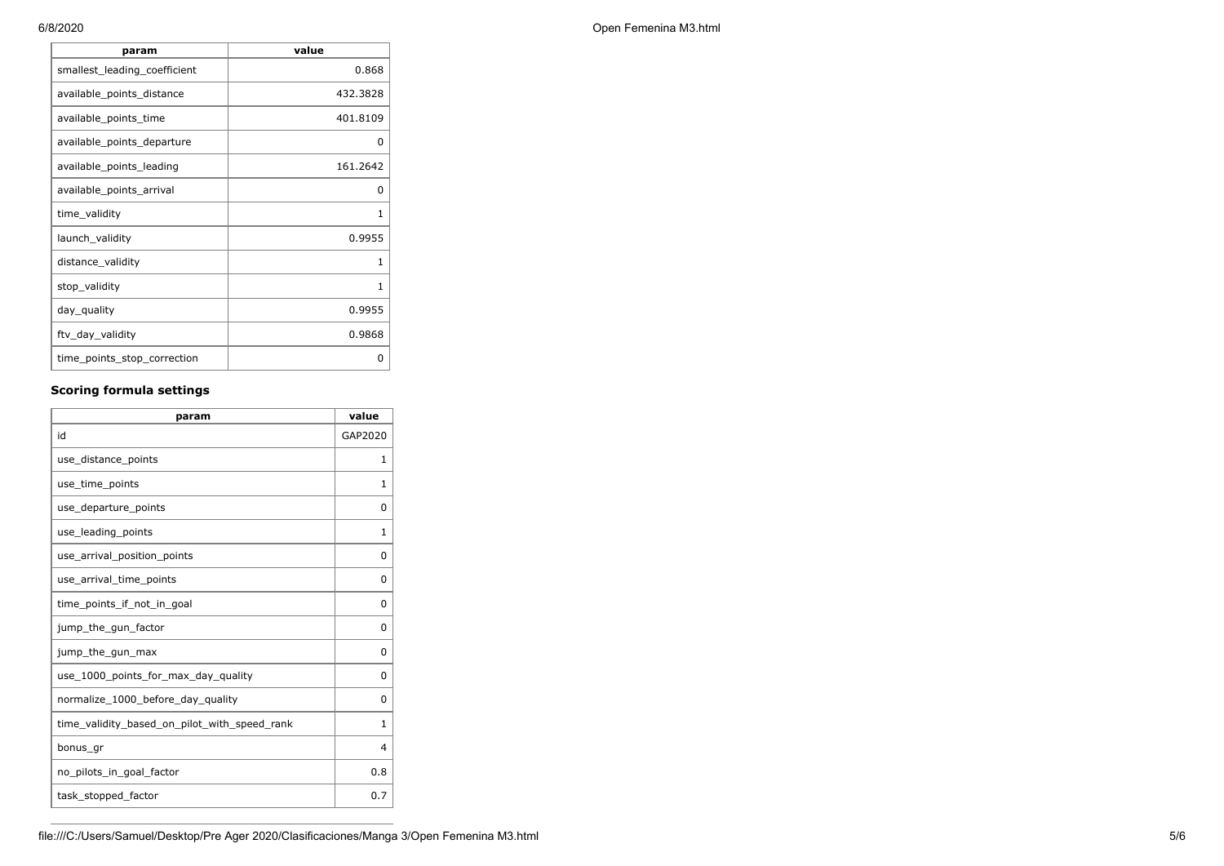| param                        | value    |
|------------------------------|----------|
| smallest_leading_coefficient | 0.868    |
| available_points_distance    | 432.3828 |
| available_points_time        | 401.8109 |
| available_points_departure   | 0        |
| available points leading     | 161.2642 |
| available_points_arrival     | 0        |
| time_validity                | 1        |
| launch_validity              | 0.9955   |
| distance_validity            | 1        |
| stop_validity                | 1        |
| day_quality                  | 0.9955   |
| ftv_day_validity             | 0.9868   |
| time_points_stop_correction  | 0        |

## **Scoring formula settings**

| param                                        | value          |
|----------------------------------------------|----------------|
| id                                           | GAP2020        |
| use_distance_points                          | 1              |
| use_time_points                              | 1              |
| use_departure_points                         | $\Omega$       |
| use leading points                           | 1              |
| use arrival position points                  | 0              |
| use_arrival_time_points                      | 0              |
| time points if not in goal                   | $\Omega$       |
| jump_the_gun_factor                          | $\Omega$       |
| jump_the_gun_max                             | $\Omega$       |
| use 1000 points for max day quality          | $\Omega$       |
| normalize_1000_before_day_quality            | $\Omega$       |
| time_validity_based_on_pilot_with_speed_rank | $\mathbf{1}$   |
| bonus gr                                     | $\overline{4}$ |
| no_pilots_in_goal_factor                     | 0.8            |
| task_stopped_factor                          | 0.7            |

6/8/2020 Open Femenina M3.html